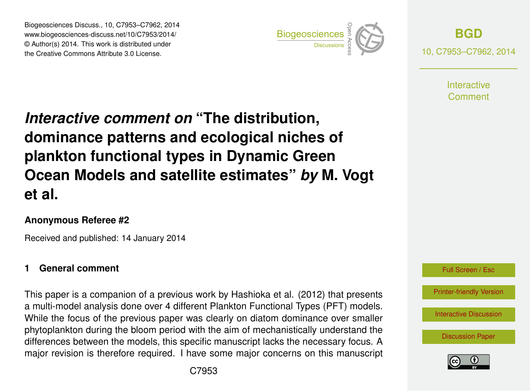Biogeosciences Discuss., 10, C7953–C7962, 2014 www.biogeosciences-discuss.net/10/C7953/2014/ www.biogeosciences-ulscuss.net/10/C7953/2014/<br>© Author(s) 2014. This work is distributed under the Creative Commons Attribute 3.0 License.



**[BGD](http://www.biogeosciences-discuss.net)** 10, C7953–C7962, 2014

> **Interactive** Comment

#### Earth System dominance patterns and ecological niches of  $\mathbf{b}$ *Interactive comment on* "The distribution, plankton functional types in Dynamic Green nd oote and sale  $\blacksquare$  $\mathcal{L}_{\mathbf{b}}$ geoscientification **Ocean Models and satellite estimates"** *by* **M. Vogt**  $\overline{\phantom{a}}$ **et al.**

## **Anonymous Referee #2**

Geoscientific Received and published: 14 January 2014

# **1 General comment**

This paper is a companion of a previous work by Hashioka et al. (2012) that presents Open Access p a multi-model analysis done over 4 different Plankton Functional Types (PFT) models. phytoplankton during the bloom period with the aim of mechanistically understand the ιε<br>N<br>e r<br>st<br>f differences between the models, this specific manuscript lacks the necessary focus. A While the focus of the previous paper was clearly on diatom dominance over smaller major revision is therefore required. I have some major concerns on this manuscript



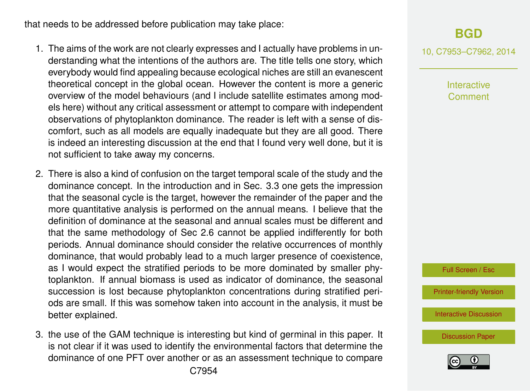that needs to be addressed before publication may take place:

- 1. The aims of the work are not clearly expresses and I actually have problems in understanding what the intentions of the authors are. The title tells one story, which everybody would find appealing because ecological niches are still an evanescent theoretical concept in the global ocean. However the content is more a generic overview of the model behaviours (and I include satellite estimates among models here) without any critical assessment or attempt to compare with independent observations of phytoplankton dominance. The reader is left with a sense of discomfort, such as all models are equally inadequate but they are all good. There is indeed an interesting discussion at the end that I found very well done, but it is not sufficient to take away my concerns.
- 2. There is also a kind of confusion on the target temporal scale of the study and the dominance concept. In the introduction and in Sec. 3.3 one gets the impression that the seasonal cycle is the target, however the remainder of the paper and the more quantitative analysis is performed on the annual means. I believe that the definition of dominance at the seasonal and annual scales must be different and that the same methodology of Sec 2.6 cannot be applied indifferently for both periods. Annual dominance should consider the relative occurrences of monthly dominance, that would probably lead to a much larger presence of coexistence, as I would expect the stratified periods to be more dominated by smaller phytoplankton. If annual biomass is used as indicator of dominance, the seasonal succession is lost because phytoplankton concentrations during stratified periods are small. If this was somehow taken into account in the analysis, it must be better explained.
- 3. the use of the GAM technique is interesting but kind of germinal in this paper. It is not clear if it was used to identify the environmental factors that determine the dominance of one PFT over another or as an assessment technique to compare

10, C7953–C7962, 2014

Interactive Comment

Full Screen / Esc

[Printer-friendly Version](http://www.biogeosciences-discuss.net/10/C7953/2014/bgd-10-C7953-2014-print.pdf)

[Interactive Discussion](http://www.biogeosciences-discuss.net/10/17193/2013/bgd-10-17193-2013-discussion.html)

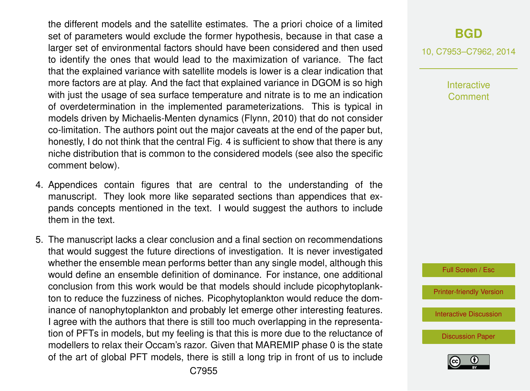the different models and the satellite estimates. The a priori choice of a limited set of parameters would exclude the former hypothesis, because in that case a larger set of environmental factors should have been considered and then used to identify the ones that would lead to the maximization of variance. The fact that the explained variance with satellite models is lower is a clear indication that more factors are at play. And the fact that explained variance in DGOM is so high with just the usage of sea surface temperature and nitrate is to me an indication of overdetermination in the implemented parameterizations. This is typical in models driven by Michaelis-Menten dynamics (Flynn, 2010) that do not consider co-limitation. The authors point out the major caveats at the end of the paper but, honestly, I do not think that the central Fig. 4 is sufficient to show that there is any niche distribution that is common to the considered models (see also the specific comment below).

- 4. Appendices contain figures that are central to the understanding of the manuscript. They look more like separated sections than appendices that expands concepts mentioned in the text. I would suggest the authors to include them in the text.
- 5. The manuscript lacks a clear conclusion and a final section on recommendations that would suggest the future directions of investigation. It is never investigated whether the ensemble mean performs better than any single model, although this would define an ensemble definition of dominance. For instance, one additional conclusion from this work would be that models should include picophytoplankton to reduce the fuzziness of niches. Picophytoplankton would reduce the dominance of nanophytoplankton and probably let emerge other interesting features. I agree with the authors that there is still too much overlapping in the representation of PFTs in models, but my feeling is that this is more due to the reluctance of modellers to relax their Occam's razor. Given that MAREMIP phase 0 is the state of the art of global PFT models, there is still a long trip in front of us to include

10, C7953–C7962, 2014

Interactive Comment

Full Screen / Esc

[Printer-friendly Version](http://www.biogeosciences-discuss.net/10/C7953/2014/bgd-10-C7953-2014-print.pdf)

[Interactive Discussion](http://www.biogeosciences-discuss.net/10/17193/2013/bgd-10-17193-2013-discussion.html)

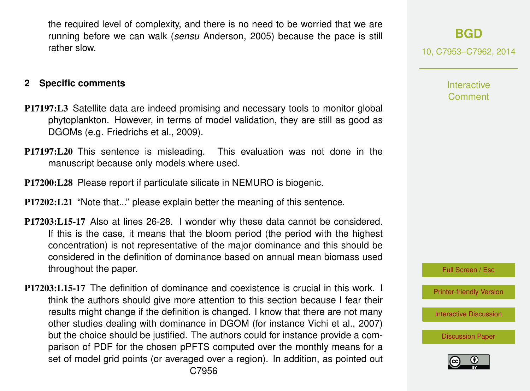the required level of complexity, and there is no need to be worried that we are running before we can walk (*sensu* Anderson, 2005) because the pace is still rather slow.

### **2 Specific comments**

- P17197:L3 Satellite data are indeed promising and necessary tools to monitor global phytoplankton. However, in terms of model validation, they are still as good as DGOMs (e.g. Friedrichs et al., 2009).
- P17197:L20 This sentence is misleading. This evaluation was not done in the manuscript because only models where used.
- P17200:L28 Please report if particulate silicate in NEMURO is biogenic.
- P17202:L21 "Note that..." please explain better the meaning of this sentence.
- P17203:L15-17 Also at lines 26-28. I wonder why these data cannot be considered. If this is the case, it means that the bloom period (the period with the highest concentration) is not representative of the major dominance and this should be considered in the definition of dominance based on annual mean biomass used throughout the paper.
- P17203:L15-17 The definition of dominance and coexistence is crucial in this work. I think the authors should give more attention to this section because I fear their results might change if the definition is changed. I know that there are not many other studies dealing with dominance in DGOM (for instance Vichi et al., 2007) but the choice should be justified. The authors could for instance provide a comparison of PDF for the chosen pPFTS computed over the monthly means for a set of model grid points (or averaged over a region). In addition, as pointed out

# **[BGD](http://www.biogeosciences-discuss.net)**

10, C7953–C7962, 2014

Interactive **Comment** 

Full Screen / Esc

[Printer-friendly Version](http://www.biogeosciences-discuss.net/10/C7953/2014/bgd-10-C7953-2014-print.pdf)

[Interactive Discussion](http://www.biogeosciences-discuss.net/10/17193/2013/bgd-10-17193-2013-discussion.html)

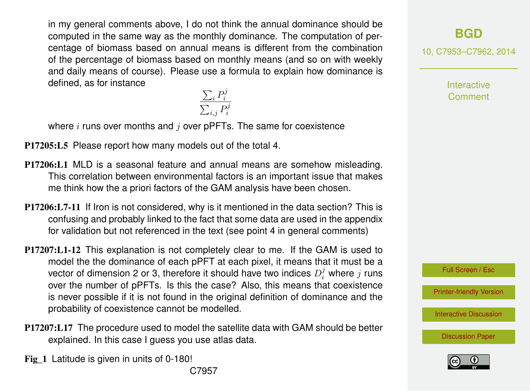in my general comments above, I do not think the annual dominance should be computed in the same way as the monthly dominance. The computation of percentage of biomass based on annual means is different from the combination of the percentage of biomass based on monthly means (and so on with weekly and daily means of course). Please use a formula to explain how dominance is defined, as for instance  $\sum_i P_i^j$ 

i  $_{i,j}P_i^j$ i

where  $i$  runs over months and  $j$  over pPFTs. The same for coexistence

 $\sum$ 

P17205:L5 Please report how many models out of the total 4.

- P17206:L1 MLD is a seasonal feature and annual means are somehow misleading. This correlation between environmental factors is an important issue that makes me think how the a priori factors of the GAM analysis have been chosen.
- P17206:L7-11 If Iron is not considered, why is it mentioned in the data section? This is confusing and probably linked to the fact that some data are used in the appendix for validation but not referenced in the text (see point 4 in general comments)
- P17207:L1-12 This explanation is not completely clear to me. If the GAM is used to model the the dominance of each pPFT at each pixel, it means that it must be a vector of dimension 2 or 3, therefore it should have two indices  $D_i^j$  where  $j$  runs over the number of pPFTs. Is this the case? Also, this means that coexistence is never possible if it is not found in the original definition of dominance and the probability of coexistence cannot be modelled.
- P17207:L17 The procedure used to model the satellite data with GAM should be better explained. In this case I guess you use atlas data.
- Fig 1 Latitude is given in units of 0-180!

# **[BGD](http://www.biogeosciences-discuss.net)**

10, C7953–C7962, 2014

**Interactive** Comment

Full Screen / Esc

[Printer-friendly Version](http://www.biogeosciences-discuss.net/10/C7953/2014/bgd-10-C7953-2014-print.pdf)

[Interactive Discussion](http://www.biogeosciences-discuss.net/10/17193/2013/bgd-10-17193-2013-discussion.html)

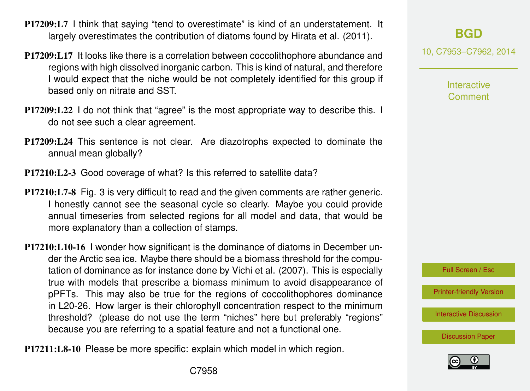- P17209:L7 I think that saying "tend to overestimate" is kind of an understatement. It largely overestimates the contribution of diatoms found by Hirata et al. (2011).
- P17209:L17 It looks like there is a correlation between coccolithophore abundance and regions with high dissolved inorganic carbon. This is kind of natural, and therefore I would expect that the niche would be not completely identified for this group if based only on nitrate and SST.
- P17209:L22 I do not think that "agree" is the most appropriate way to describe this. I do not see such a clear agreement.
- P17209:L24 This sentence is not clear. Are diazotrophs expected to dominate the annual mean globally?
- P17210:L2-3 Good coverage of what? Is this referred to satellite data?
- P17210:L7-8 Fig. 3 is very difficult to read and the given comments are rather generic. I honestly cannot see the seasonal cycle so clearly. Maybe you could provide annual timeseries from selected regions for all model and data, that would be more explanatory than a collection of stamps.
- P17210:L10-16 I wonder how significant is the dominance of diatoms in December under the Arctic sea ice. Maybe there should be a biomass threshold for the computation of dominance as for instance done by Vichi et al. (2007). This is especially true with models that prescribe a biomass minimum to avoid disappearance of pPFTs. This may also be true for the regions of coccolithophores dominance in L20-26. How larger is their chlorophyll concentration respect to the minimum threshold? (please do not use the term "niches" here but preferably "regions" because you are referring to a spatial feature and not a functional one.

P17211:L8-10 Please be more specific: explain which model in which region.

10, C7953–C7962, 2014

Interactive Comment



[Printer-friendly Version](http://www.biogeosciences-discuss.net/10/C7953/2014/bgd-10-C7953-2014-print.pdf)

[Interactive Discussion](http://www.biogeosciences-discuss.net/10/17193/2013/bgd-10-17193-2013-discussion.html)

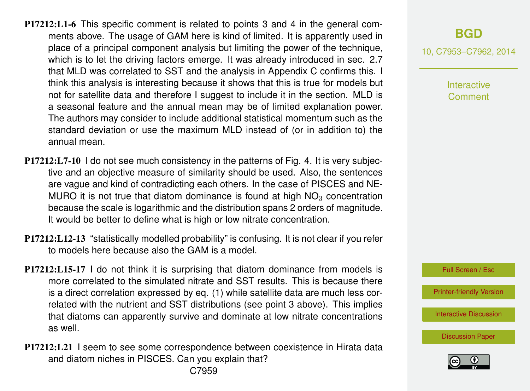- P17212:L1-6 This specific comment is related to points 3 and 4 in the general comments above. The usage of GAM here is kind of limited. It is apparently used in place of a principal component analysis but limiting the power of the technique, which is to let the driving factors emerge. It was already introduced in sec. 2.7 that MLD was correlated to SST and the analysis in Appendix C confirms this. I think this analysis is interesting because it shows that this is true for models but not for satellite data and therefore I suggest to include it in the section. MLD is a seasonal feature and the annual mean may be of limited explanation power. The authors may consider to include additional statistical momentum such as the standard deviation or use the maximum MLD instead of (or in addition to) the annual mean.
- P17212:L7-10 I do not see much consistency in the patterns of Fig. 4. It is very subjective and an objective measure of similarity should be used. Also, the sentences are vague and kind of contradicting each others. In the case of PISCES and NE-MURO it is not true that diatom dominance is found at high  $NO<sub>3</sub>$  concentration because the scale is logarithmic and the distribution spans 2 orders of magnitude. It would be better to define what is high or low nitrate concentration.
- P17212:L12-13 "statistically modelled probability" is confusing. It is not clear if you refer to models here because also the GAM is a model.
- P17212:L15-17 I do not think it is surprising that diatom dominance from models is more correlated to the simulated nitrate and SST results. This is because there is a direct correlation expressed by eq. (1) while satellite data are much less correlated with the nutrient and SST distributions (see point 3 above). This implies that diatoms can apparently survive and dominate at low nitrate concentrations as well.
- P17212:L21 I seem to see some correspondence between coexistence in Hirata data and diatom niches in PISCES. Can you explain that?

10, C7953–C7962, 2014

Interactive Comment

Full Screen / Esc

[Printer-friendly Version](http://www.biogeosciences-discuss.net/10/C7953/2014/bgd-10-C7953-2014-print.pdf)

[Interactive Discussion](http://www.biogeosciences-discuss.net/10/17193/2013/bgd-10-17193-2013-discussion.html)

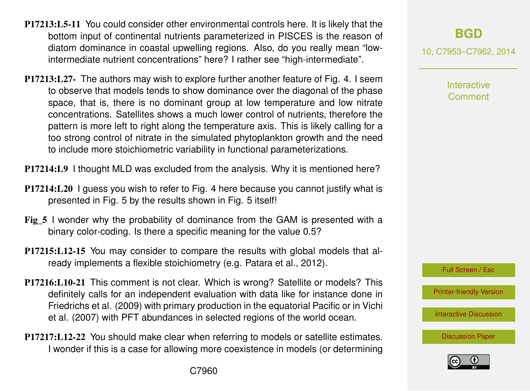- P17213:L5-11 You could consider other environmental controls here. It is likely that the bottom input of continental nutrients parameterized in PISCES is the reason of diatom dominance in coastal upwelling regions. Also, do you really mean "lowintermediate nutrient concentrations" here? I rather see "high-intermediate".
- P17213:L27- The authors may wish to explore further another feature of Fig. 4. I seem to observe that models tends to show dominance over the diagonal of the phase space, that is, there is no dominant group at low temperature and low nitrate concentrations. Satellites shows a much lower control of nutrients, therefore the pattern is more left to right along the temperature axis. This is likely calling for a too strong control of nitrate in the simulated phytoplankton growth and the need to include more stoichiometric variability in functional parameterizations.

P17214:L9 I thought MLD was excluded from the analysis. Why it is mentioned here?

- P17214:L20 I guess you wish to refer to Fig. 4 here because you cannot justify what is presented in Fig. 5 by the results shown in Fig. 5 itself!
- Fig 5 I wonder why the probability of dominance from the GAM is presented with a binary color-coding. Is there a specific meaning for the value 0.5?
- P17215:L12-15 You may consider to compare the results with global models that already implements a flexible stoichiometry (e.g. Patara et al., 2012).
- P17216:L10-21 This comment is not clear. Which is wrong? Satellite or models? This definitely calls for an independent evaluation with data like for instance done in Friedrichs et al. (2009) with primary production in the equatorial Pacific or in Vichi et al. (2007) with PFT abundances in selected regions of the world ocean.
- P17217:L12-22 You should make clear when referring to models or satellite estimates. I wonder if this is a case for allowing more coexistence in models (or determining

**[BGD](http://www.biogeosciences-discuss.net)**

10, C7953–C7962, 2014

Interactive **Comment** 

Full Screen / Esc

[Printer-friendly Version](http://www.biogeosciences-discuss.net/10/C7953/2014/bgd-10-C7953-2014-print.pdf)

[Interactive Discussion](http://www.biogeosciences-discuss.net/10/17193/2013/bgd-10-17193-2013-discussion.html)

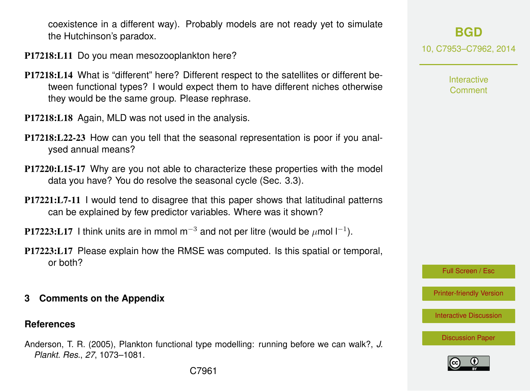coexistence in a different way). Probably models are not ready yet to simulate the Hutchinson's paradox.

- P17218:L11 Do you mean mesozooplankton here?
- P17218:L14 What is "different" here? Different respect to the satellites or different between functional types? I would expect them to have different niches otherwise they would be the same group. Please rephrase.
- P17218:L18 Again, MLD was not used in the analysis.
- P17218:L22-23 How can you tell that the seasonal representation is poor if you analysed annual means?
- P17220:L15-17 Why are you not able to characterize these properties with the model data you have? You do resolve the seasonal cycle (Sec. 3.3).
- P17221:L7-11 I would tend to disagree that this paper shows that latitudinal patterns can be explained by few predictor variables. Where was it shown?
- P17223:L17 I think units are in mmol m<sup>−3</sup> and not per litre (would be  $\mu$ mol l<sup>−1</sup>).
- P17223:L17 Please explain how the RMSE was computed. Is this spatial or temporal, or both?
- **3 Comments on the Appendix**

#### **References**

Anderson, T. R. (2005), Plankton functional type modelling: running before we can walk?, *J. Plankt. Res.*, *27*, 1073–1081.

**[BGD](http://www.biogeosciences-discuss.net)** 10, C7953–C7962, 2014

> Interactive Comment

Full Screen / Esc

[Printer-friendly Version](http://www.biogeosciences-discuss.net/10/C7953/2014/bgd-10-C7953-2014-print.pdf)

[Interactive Discussion](http://www.biogeosciences-discuss.net/10/17193/2013/bgd-10-17193-2013-discussion.html)